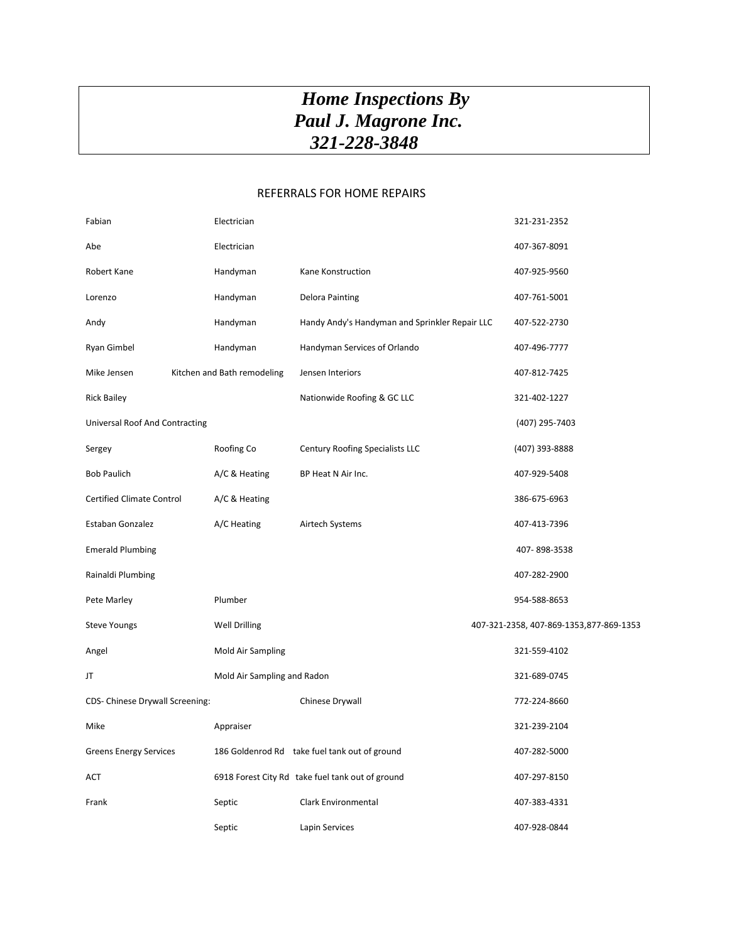## *Home Inspections By Paul J. Magrone Inc. 321-228-3848*

## REFERRALS FOR HOME REPAIRS

| Fabian                           | Electrician                 |                                                  | 321-231-2352                             |
|----------------------------------|-----------------------------|--------------------------------------------------|------------------------------------------|
| Abe                              | Electrician                 |                                                  | 407-367-8091                             |
| Robert Kane                      | Handyman                    | Kane Konstruction                                | 407-925-9560                             |
| Lorenzo                          | Handyman                    | <b>Delora Painting</b>                           | 407-761-5001                             |
| Andy                             | Handyman                    | Handy Andy's Handyman and Sprinkler Repair LLC   | 407-522-2730                             |
| Ryan Gimbel                      | Handyman                    | Handyman Services of Orlando                     | 407-496-7777                             |
| Mike Jensen                      | Kitchen and Bath remodeling | Jensen Interiors                                 | 407-812-7425                             |
| <b>Rick Bailey</b>               |                             | Nationwide Roofing & GC LLC                      | 321-402-1227                             |
| Universal Roof And Contracting   |                             |                                                  | (407) 295-7403                           |
| Sergey                           | Roofing Co                  | Century Roofing Specialists LLC                  | (407) 393-8888                           |
| <b>Bob Paulich</b>               | A/C & Heating               | BP Heat N Air Inc.                               | 407-929-5408                             |
| <b>Certified Climate Control</b> | A/C & Heating               |                                                  | 386-675-6963                             |
| Estaban Gonzalez                 | A/C Heating                 | Airtech Systems                                  | 407-413-7396                             |
| <b>Emerald Plumbing</b>          |                             |                                                  | 407-898-3538                             |
| Rainaldi Plumbing                |                             |                                                  | 407-282-2900                             |
| Pete Marley                      | Plumber                     |                                                  | 954-588-8653                             |
| <b>Steve Youngs</b>              | <b>Well Drilling</b>        |                                                  | 407-321-2358, 407-869-1353, 877-869-1353 |
| Angel                            | Mold Air Sampling           |                                                  | 321-559-4102                             |
| JT                               | Mold Air Sampling and Radon |                                                  | 321-689-0745                             |
| CDS- Chinese Drywall Screening:  |                             | Chinese Drywall                                  | 772-224-8660                             |
| Mike                             | Appraiser                   |                                                  | 321-239-2104                             |
| <b>Greens Energy Services</b>    |                             | 186 Goldenrod Rd take fuel tank out of ground    | 407-282-5000                             |
| ACT                              |                             | 6918 Forest City Rd take fuel tank out of ground | 407-297-8150                             |
| Frank                            | Septic                      | <b>Clark Environmental</b>                       | 407-383-4331                             |
|                                  | Septic                      | Lapin Services                                   | 407-928-0844                             |